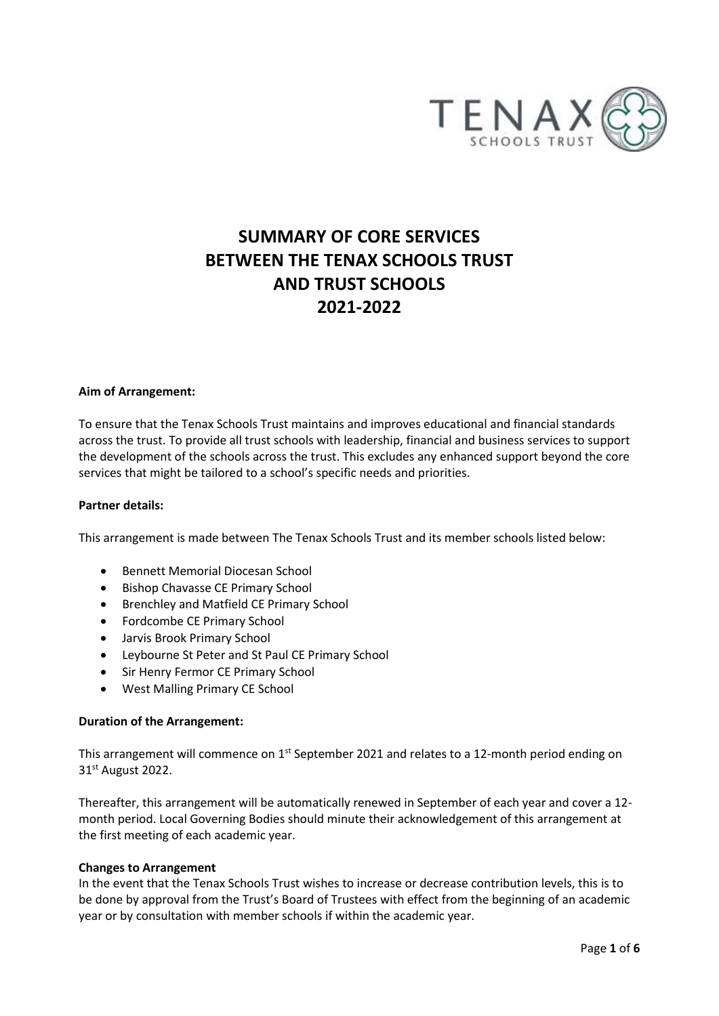

# **SUMMARY OF CORE SERVICES BETWEEN THE TENAX SCHOOLS TRUST AND TRUST SCHOOLS 2021-2022**

#### **Aim of Arrangement:**

To ensure that the Tenax Schools Trust maintains and improves educational and financial standards across the trust. To provide all trust schools with leadership, financial and business services to support the development of the schools across the trust. This excludes any enhanced support beyond the core services that might be tailored to a school's specific needs and priorities.

#### **Partner details:**

This arrangement is made between The Tenax Schools Trust and its member schools listed below:

- Bennett Memorial Diocesan School
- Bishop Chavasse CE Primary School
- Brenchley and Matfield CE Primary School
- Fordcombe CE Primary School
- Jarvis Brook Primary School
- Leybourne St Peter and St Paul CE Primary School
- Sir Henry Fermor CE Primary School
- West Malling Primary CE School

## **Duration of the Arrangement:**

This arrangement will commence on  $1^{st}$  September 2021 and relates to a 12-month period ending on 31st August 2022.

Thereafter, this arrangement will be automatically renewed in September of each year and cover a 12 month period. Local Governing Bodies should minute their acknowledgement of this arrangement at the first meeting of each academic year.

#### **Changes to Arrangement**

In the event that the Tenax Schools Trust wishes to increase or decrease contribution levels, this is to be done by approval from the Trust's Board of Trustees with effect from the beginning of an academic year or by consultation with member schools if within the academic year.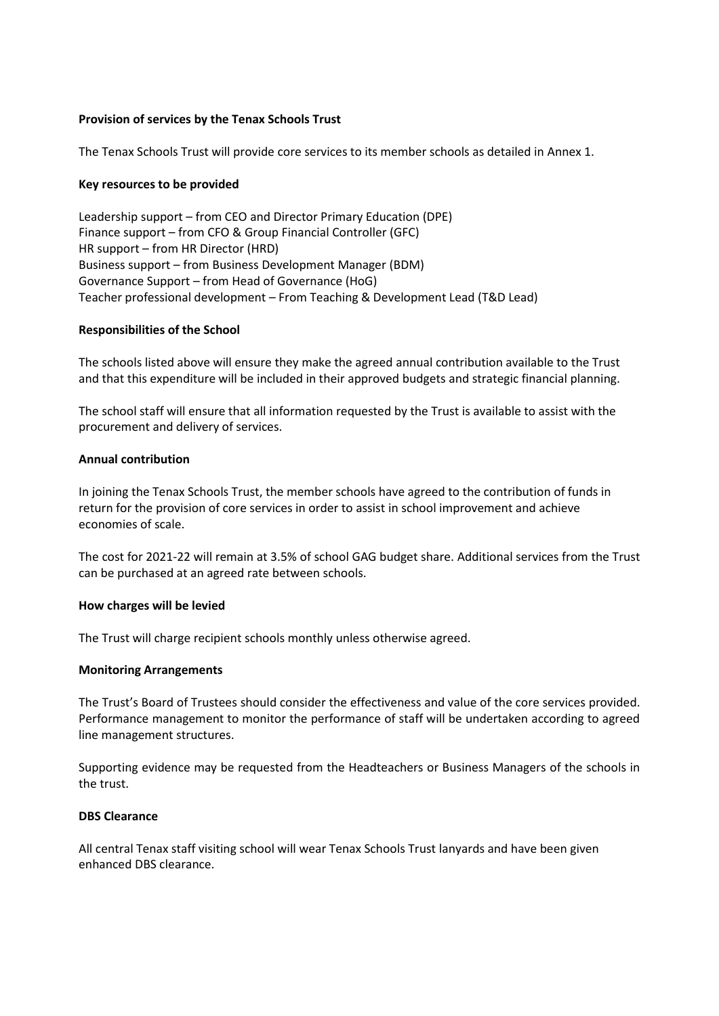# **Provision of services by the Tenax Schools Trust**

The Tenax Schools Trust will provide core services to its member schools as detailed in Annex 1.

## **Key resources to be provided**

Leadership support – from CEO and Director Primary Education (DPE) Finance support – from CFO & Group Financial Controller (GFC) HR support – from HR Director (HRD) Business support – from Business Development Manager (BDM) Governance Support – from Head of Governance (HoG) Teacher professional development – From Teaching & Development Lead (T&D Lead)

## **Responsibilities of the School**

The schools listed above will ensure they make the agreed annual contribution available to the Trust and that this expenditure will be included in their approved budgets and strategic financial planning.

The school staff will ensure that all information requested by the Trust is available to assist with the procurement and delivery of services.

## **Annual contribution**

In joining the Tenax Schools Trust, the member schools have agreed to the contribution of funds in return for the provision of core services in order to assist in school improvement and achieve economies of scale.

The cost for 2021-22 will remain at 3.5% of school GAG budget share. Additional services from the Trust can be purchased at an agreed rate between schools.

## **How charges will be levied**

The Trust will charge recipient schools monthly unless otherwise agreed.

## **Monitoring Arrangements**

The Trust's Board of Trustees should consider the effectiveness and value of the core services provided. Performance management to monitor the performance of staff will be undertaken according to agreed line management structures.

Supporting evidence may be requested from the Headteachers or Business Managers of the schools in the trust.

## **DBS Clearance**

All central Tenax staff visiting school will wear Tenax Schools Trust lanyards and have been given enhanced DBS clearance.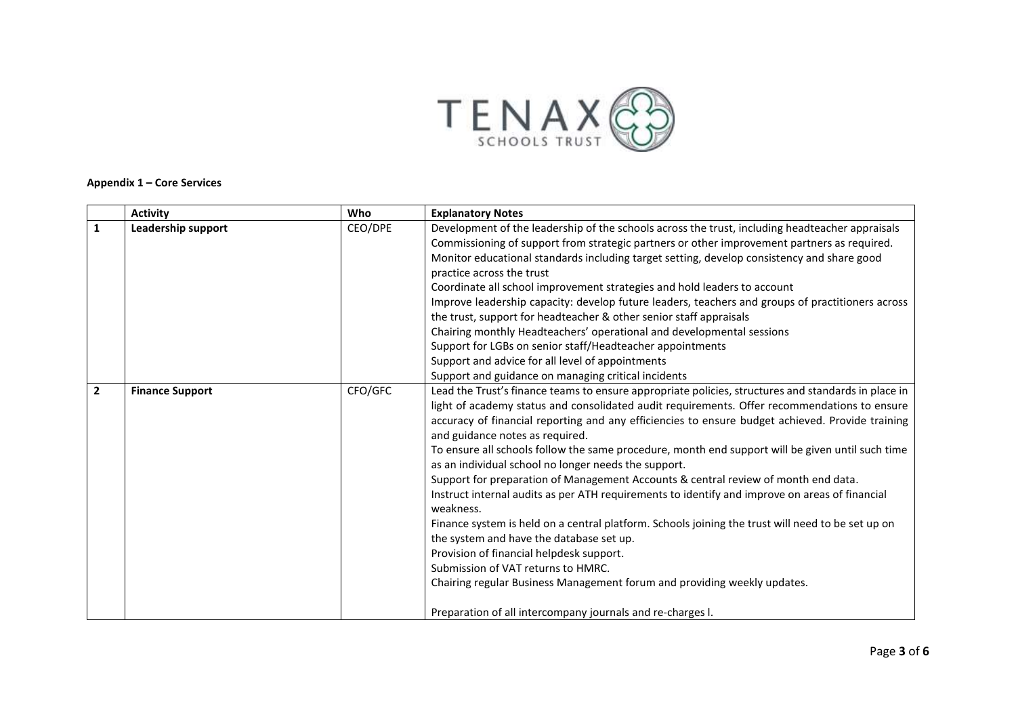

#### **Appendix 1 – Core Services**

|                | <b>Activity</b>        | Who     | <b>Explanatory Notes</b>                                                                            |
|----------------|------------------------|---------|-----------------------------------------------------------------------------------------------------|
| 1              | Leadership support     | CEO/DPE | Development of the leadership of the schools across the trust, including headteacher appraisals     |
|                |                        |         | Commissioning of support from strategic partners or other improvement partners as required.         |
|                |                        |         | Monitor educational standards including target setting, develop consistency and share good          |
|                |                        |         | practice across the trust                                                                           |
|                |                        |         | Coordinate all school improvement strategies and hold leaders to account                            |
|                |                        |         | Improve leadership capacity: develop future leaders, teachers and groups of practitioners across    |
|                |                        |         | the trust, support for headteacher & other senior staff appraisals                                  |
|                |                        |         | Chairing monthly Headteachers' operational and developmental sessions                               |
|                |                        |         | Support for LGBs on senior staff/Headteacher appointments                                           |
|                |                        |         | Support and advice for all level of appointments                                                    |
|                |                        |         | Support and guidance on managing critical incidents                                                 |
| $\overline{2}$ | <b>Finance Support</b> | CFO/GFC | Lead the Trust's finance teams to ensure appropriate policies, structures and standards in place in |
|                |                        |         | light of academy status and consolidated audit requirements. Offer recommendations to ensure        |
|                |                        |         | accuracy of financial reporting and any efficiencies to ensure budget achieved. Provide training    |
|                |                        |         | and guidance notes as required.                                                                     |
|                |                        |         | To ensure all schools follow the same procedure, month end support will be given until such time    |
|                |                        |         | as an individual school no longer needs the support.                                                |
|                |                        |         | Support for preparation of Management Accounts & central review of month end data.                  |
|                |                        |         | Instruct internal audits as per ATH requirements to identify and improve on areas of financial      |
|                |                        |         | weakness.                                                                                           |
|                |                        |         | Finance system is held on a central platform. Schools joining the trust will need to be set up on   |
|                |                        |         | the system and have the database set up.                                                            |
|                |                        |         | Provision of financial helpdesk support.<br>Submission of VAT returns to HMRC.                      |
|                |                        |         |                                                                                                     |
|                |                        |         | Chairing regular Business Management forum and providing weekly updates.                            |
|                |                        |         | Preparation of all intercompany journals and re-charges I.                                          |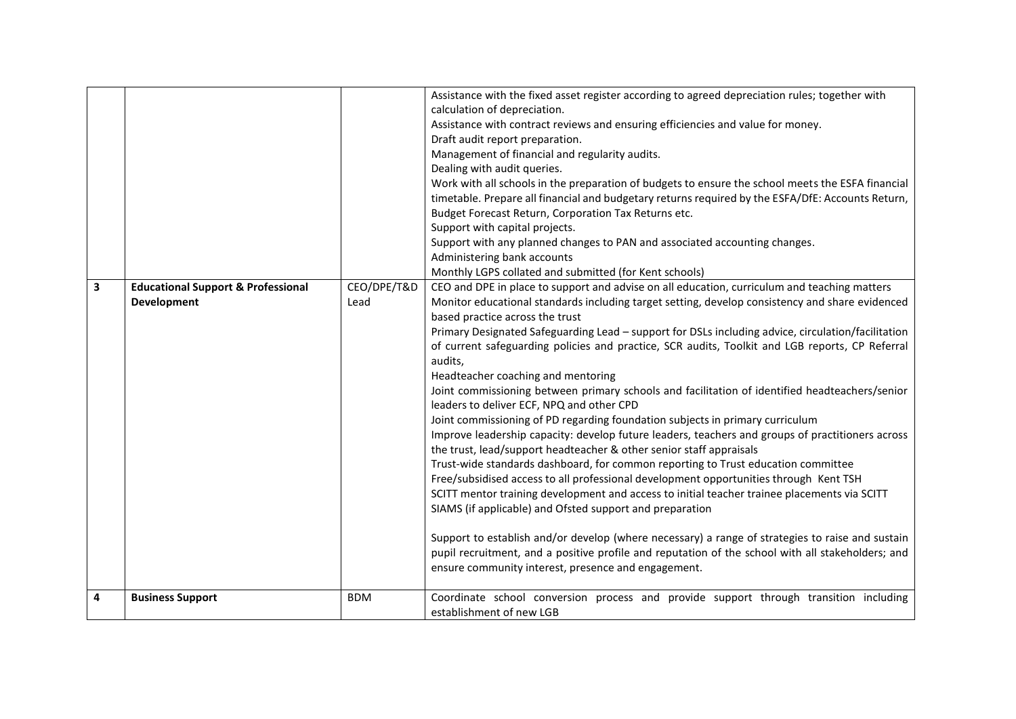|   |                                                                     |                     | Assistance with the fixed asset register according to agreed depreciation rules; together with<br>calculation of depreciation.<br>Assistance with contract reviews and ensuring efficiencies and value for money.<br>Draft audit report preparation.<br>Management of financial and regularity audits.<br>Dealing with audit queries.<br>Work with all schools in the preparation of budgets to ensure the school meets the ESFA financial<br>timetable. Prepare all financial and budgetary returns required by the ESFA/DfE: Accounts Return,<br>Budget Forecast Return, Corporation Tax Returns etc.<br>Support with capital projects.<br>Support with any planned changes to PAN and associated accounting changes.<br>Administering bank accounts<br>Monthly LGPS collated and submitted (for Kent schools)                                                                                                                                                                                                                                                                                                                                                                                                                                                                                                                                                                                                                                                                                                  |
|---|---------------------------------------------------------------------|---------------------|-------------------------------------------------------------------------------------------------------------------------------------------------------------------------------------------------------------------------------------------------------------------------------------------------------------------------------------------------------------------------------------------------------------------------------------------------------------------------------------------------------------------------------------------------------------------------------------------------------------------------------------------------------------------------------------------------------------------------------------------------------------------------------------------------------------------------------------------------------------------------------------------------------------------------------------------------------------------------------------------------------------------------------------------------------------------------------------------------------------------------------------------------------------------------------------------------------------------------------------------------------------------------------------------------------------------------------------------------------------------------------------------------------------------------------------------------------------------------------------------------------------------|
| 3 | <b>Educational Support &amp; Professional</b><br><b>Development</b> | CEO/DPE/T&D<br>Lead | CEO and DPE in place to support and advise on all education, curriculum and teaching matters<br>Monitor educational standards including target setting, develop consistency and share evidenced<br>based practice across the trust<br>Primary Designated Safeguarding Lead - support for DSLs including advice, circulation/facilitation<br>of current safeguarding policies and practice, SCR audits, Toolkit and LGB reports, CP Referral<br>audits,<br>Headteacher coaching and mentoring<br>Joint commissioning between primary schools and facilitation of identified headteachers/senior<br>leaders to deliver ECF, NPQ and other CPD<br>Joint commissioning of PD regarding foundation subjects in primary curriculum<br>Improve leadership capacity: develop future leaders, teachers and groups of practitioners across<br>the trust, lead/support headteacher & other senior staff appraisals<br>Trust-wide standards dashboard, for common reporting to Trust education committee<br>Free/subsidised access to all professional development opportunities through Kent TSH<br>SCITT mentor training development and access to initial teacher trainee placements via SCITT<br>SIAMS (if applicable) and Ofsted support and preparation<br>Support to establish and/or develop (where necessary) a range of strategies to raise and sustain<br>pupil recruitment, and a positive profile and reputation of the school with all stakeholders; and<br>ensure community interest, presence and engagement. |
| 4 | <b>Business Support</b>                                             | <b>BDM</b>          | Coordinate school conversion process and provide support through transition including<br>establishment of new LGB                                                                                                                                                                                                                                                                                                                                                                                                                                                                                                                                                                                                                                                                                                                                                                                                                                                                                                                                                                                                                                                                                                                                                                                                                                                                                                                                                                                                 |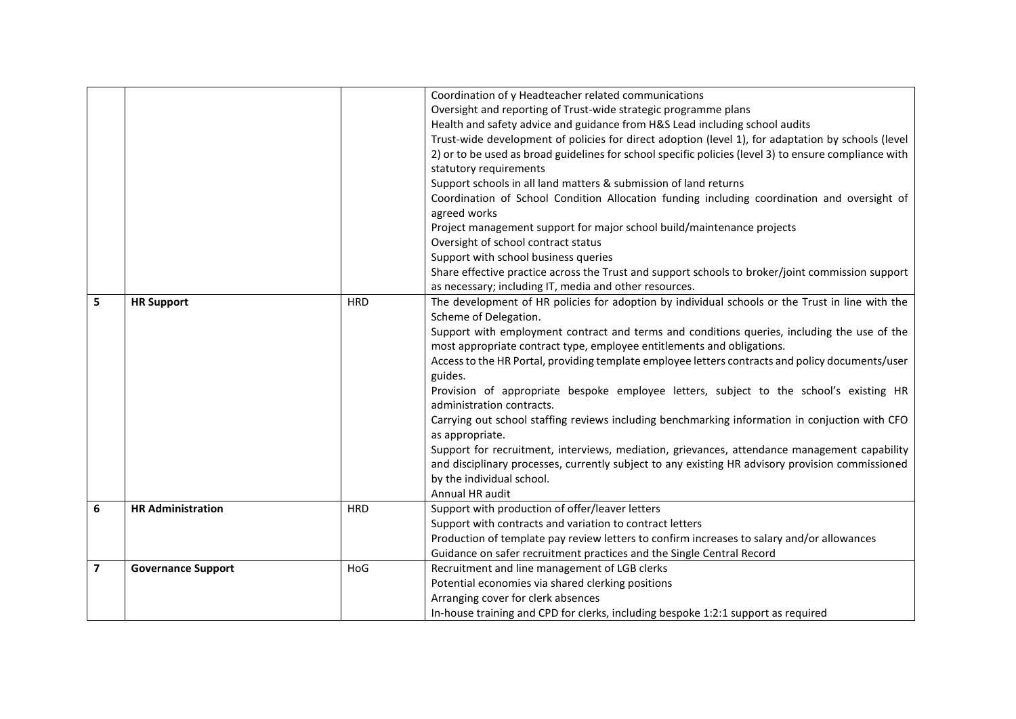|                |                           |            | Coordination of y Headteacher related communications<br>Oversight and reporting of Trust-wide strategic programme plans<br>Health and safety advice and guidance from H&S Lead including school audits<br>Trust-wide development of policies for direct adoption (level 1), for adaptation by schools (level<br>2) or to be used as broad guidelines for school specific policies (level 3) to ensure compliance with<br>statutory requirements |
|----------------|---------------------------|------------|-------------------------------------------------------------------------------------------------------------------------------------------------------------------------------------------------------------------------------------------------------------------------------------------------------------------------------------------------------------------------------------------------------------------------------------------------|
|                |                           |            | Support schools in all land matters & submission of land returns                                                                                                                                                                                                                                                                                                                                                                                |
|                |                           |            | Coordination of School Condition Allocation funding including coordination and oversight of<br>agreed works                                                                                                                                                                                                                                                                                                                                     |
|                |                           |            | Project management support for major school build/maintenance projects                                                                                                                                                                                                                                                                                                                                                                          |
|                |                           |            | Oversight of school contract status                                                                                                                                                                                                                                                                                                                                                                                                             |
|                |                           |            | Support with school business queries                                                                                                                                                                                                                                                                                                                                                                                                            |
|                |                           |            | Share effective practice across the Trust and support schools to broker/joint commission support                                                                                                                                                                                                                                                                                                                                                |
|                |                           |            | as necessary; including IT, media and other resources.                                                                                                                                                                                                                                                                                                                                                                                          |
| 5              | <b>HR Support</b>         | <b>HRD</b> | The development of HR policies for adoption by individual schools or the Trust in line with the                                                                                                                                                                                                                                                                                                                                                 |
|                |                           |            | Scheme of Delegation.                                                                                                                                                                                                                                                                                                                                                                                                                           |
|                |                           |            | Support with employment contract and terms and conditions queries, including the use of the                                                                                                                                                                                                                                                                                                                                                     |
|                |                           |            | most appropriate contract type, employee entitlements and obligations.                                                                                                                                                                                                                                                                                                                                                                          |
|                |                           |            | Access to the HR Portal, providing template employee letters contracts and policy documents/user<br>guides.                                                                                                                                                                                                                                                                                                                                     |
|                |                           |            | Provision of appropriate bespoke employee letters, subject to the school's existing HR                                                                                                                                                                                                                                                                                                                                                          |
|                |                           |            | administration contracts.                                                                                                                                                                                                                                                                                                                                                                                                                       |
|                |                           |            | Carrying out school staffing reviews including benchmarking information in conjuction with CFO                                                                                                                                                                                                                                                                                                                                                  |
|                |                           |            | as appropriate.                                                                                                                                                                                                                                                                                                                                                                                                                                 |
|                |                           |            | Support for recruitment, interviews, mediation, grievances, attendance management capability                                                                                                                                                                                                                                                                                                                                                    |
|                |                           |            | and disciplinary processes, currently subject to any existing HR advisory provision commissioned                                                                                                                                                                                                                                                                                                                                                |
|                |                           |            | by the individual school.                                                                                                                                                                                                                                                                                                                                                                                                                       |
|                |                           |            | Annual HR audit                                                                                                                                                                                                                                                                                                                                                                                                                                 |
| 6              | <b>HR Administration</b>  | <b>HRD</b> | Support with production of offer/leaver letters                                                                                                                                                                                                                                                                                                                                                                                                 |
|                |                           |            | Support with contracts and variation to contract letters                                                                                                                                                                                                                                                                                                                                                                                        |
|                |                           |            | Production of template pay review letters to confirm increases to salary and/or allowances                                                                                                                                                                                                                                                                                                                                                      |
|                |                           |            | Guidance on safer recruitment practices and the Single Central Record                                                                                                                                                                                                                                                                                                                                                                           |
| $\overline{7}$ | <b>Governance Support</b> | HoG        | Recruitment and line management of LGB clerks                                                                                                                                                                                                                                                                                                                                                                                                   |
|                |                           |            | Potential economies via shared clerking positions                                                                                                                                                                                                                                                                                                                                                                                               |
|                |                           |            | Arranging cover for clerk absences                                                                                                                                                                                                                                                                                                                                                                                                              |
|                |                           |            | In-house training and CPD for clerks, including bespoke 1:2:1 support as required                                                                                                                                                                                                                                                                                                                                                               |